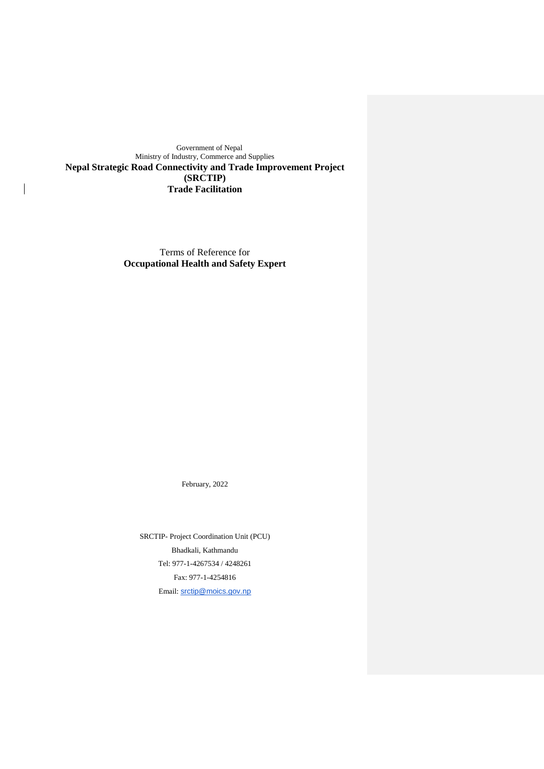Government of Nepal Ministry of Industry, Commerce and Supplies **Nepal Strategic Road Connectivity and Trade Improvement Project (SRCTIP) Trade Facilitation**

 $\overline{\phantom{a}}$ 

Terms of Reference for **Occupational Health and Safety Expert** 

February, 2022

SRCTIP- Project Coordination Unit (PCU) Bhadkali, Kathmandu Tel: 977-1-4267534 / 4248261 Fax: 977-1-4254816 Email: [srctip@moics.gov.np](mailto:email-srctip@moics.gov.np)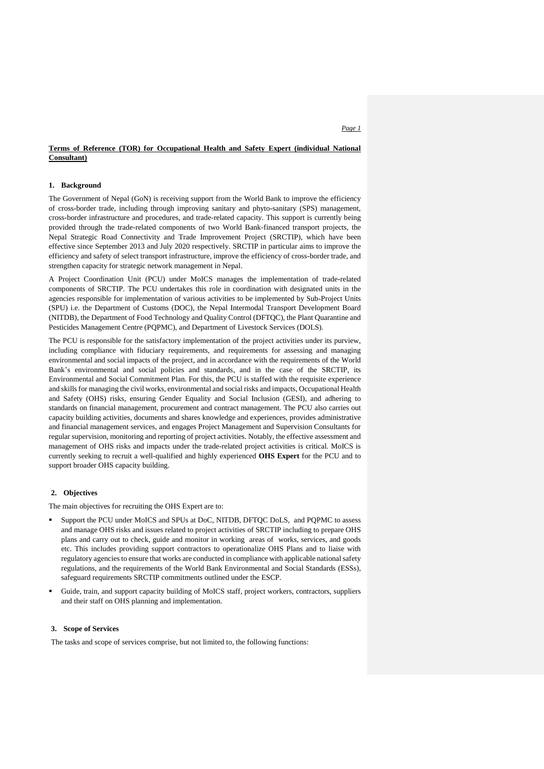### **Terms of Reference (TOR) for Occupational Health and Safety Expert (individual National Consultant)**

# **1. Background**

The Government of Nepal (GoN) is receiving support from the World Bank to improve the efficiency of cross-border trade, including through improving sanitary and phyto-sanitary (SPS) management, cross-border infrastructure and procedures, and trade-related capacity. This support is currently being provided through the trade-related components of two World Bank-financed transport projects, the Nepal Strategic Road Connectivity and Trade Improvement Project (SRCTIP), which have been effective since September 2013 and July 2020 respectively. SRCTIP in particular aims to improve the efficiency and safety of select transport infrastructure, improve the efficiency of cross-border trade, and strengthen capacity for strategic network management in Nepal.

A Project Coordination Unit (PCU) under MoICS manages the implementation of trade-related components of SRCTIP. The PCU undertakes this role in coordination with designated units in the agencies responsible for implementation of various activities to be implemented by Sub-Project Units (SPU) i.e. the Department of Customs (DOC), the Nepal Intermodal Transport Development Board (NITDB), the Department of Food Technology and Quality Control (DFTQC), the Plant Quarantine and Pesticides Management Centre (PQPMC), and Department of Livestock Services (DOLS).

The PCU is responsible for the satisfactory implementation of the project activities under its purview, including compliance with fiduciary requirements, and requirements for assessing and managing environmental and social impacts of the project, and in accordance with the requirements of the World Bank's environmental and social policies and standards, and in the case of the SRCTIP, its Environmental and Social Commitment Plan. For this, the PCU is staffed with the requisite experience and skills for managing the civil works, environmental and social risks and impacts, Occupational Health and Safety (OHS) risks, ensuring Gender Equality and Social Inclusion (GESI), and adhering to standards on financial management, procurement and contract management. The PCU also carries out capacity building activities, documents and shares knowledge and experiences, provides administrative and financial management services, and engages Project Management and Supervision Consultants for regular supervision, monitoring and reporting of project activities. Notably, the effective assessment and management of OHS risks and impacts under the trade-related project activities is critical. MoICS is currently seeking to recruit a well-qualified and highly experienced **OHS Expert** for the PCU and to support broader OHS capacity building.

# **2. Objectives**

The main objectives for recruiting the OHS Expert are to:

- Support the PCU under MoICS and SPUs at DoC, NITDB, DFTQC DoLS, and PQPMC to assess and manage OHS risks and issues related to project activities of SRCTIP including to prepare OHS plans and carry out to check, guide and monitor in working areas of works, services, and goods etc. This includes providing support contractors to operationalize OHS Plans and to liaise with regulatory agencies to ensure that works are conducted in compliance with applicable national safety regulations, and the requirements of the World Bank Environmental and Social Standards (ESSs), safeguard requirements SRCTIP commitments outlined under the ESCP.
- Guide, train, and support capacity building of MoICS staff, project workers, contractors, suppliers and their staff on OHS planning and implementation.

### **3. Scope of Services**

The tasks and scope of services comprise, but not limited to, the following functions: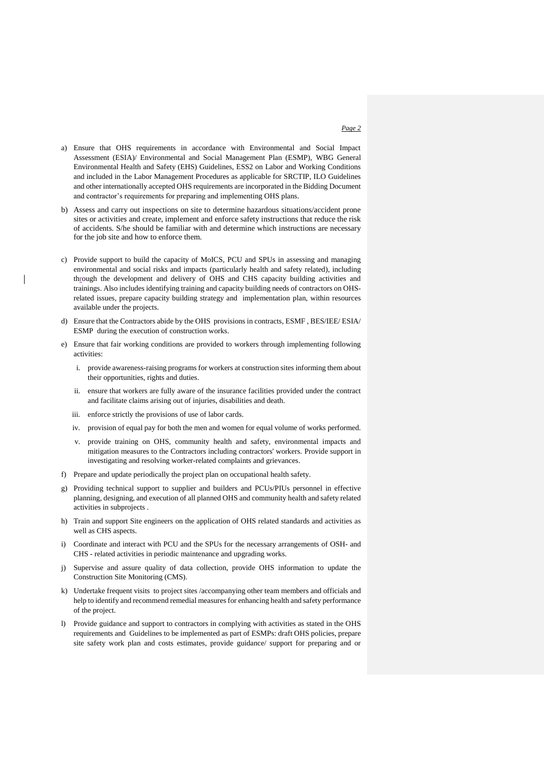- a) Ensure that OHS requirements in accordance with Environmental and Social Impact Assessment (ESIA)/ Environmental and Social Management Plan (ESMP), WBG General Environmental Health and Safety (EHS) Guidelines, ESS2 on Labor and Working Conditions and included in the Labor Management Procedures as applicable for SRCTIP, ILO Guidelines and other internationally accepted OHS requirements are incorporated in the Bidding Document and contractor's requirements for preparing and implementing OHS plans.
- b) Assess and carry out inspections on site to determine hazardous situations/accident prone sites or activities and create, implement and enforce safety instructions that reduce the risk of accidents. S/he should be familiar with and determine which instructions are necessary for the job site and how to enforce them.
- c) Provide support to build the capacity of MoICS, PCU and SPUs in assessing and managing environmental and social risks and impacts (particularly health and safety related), including through the development and delivery of OHS and CHS capacity building activities and trainings. Also includes identifying training and capacity building needs of contractors on OHS‐ related issues, prepare capacity building strategy and implementation plan, within resources available under the projects.
- d) Ensure that the Contractors abide by the OHS provisions in contracts, ESMF , BES/IEE/ ESIA/ ESMP during the execution of construction works.
- e) Ensure that fair working conditions are provided to workers through implementing following activities:
	- i. provide awareness-raising programs for workers at construction sites informing them about their opportunities, rights and duties.
	- ii. ensure that workers are fully aware of the insurance facilities provided under the contract and facilitate claims arising out of injuries, disabilities and death.
	- iii. enforce strictly the provisions of use of labor cards.
	- iv. provision of equal pay for both the men and women for equal volume of works performed.
	- v. provide training on OHS, community health and safety, environmental impacts and mitigation measures to the Contractors including contractors' workers. Provide support in investigating and resolving worker-related complaints and grievances.
- f) Prepare and update periodically the project plan on occupational health safety.
- g) Providing technical support to supplier and builders and PCUs/PIUs personnel in effective planning, designing, and execution of all planned OHS and community health and safety related activities in subprojects .
- h) Train and support Site engineers on the application of OHS related standards and activities as well as CHS aspects.
- i) Coordinate and interact with PCU and the SPUs for the necessary arrangements of OSH- and CHS - related activities in periodic maintenance and upgrading works.
- j) Supervise and assure quality of data collection, provide OHS information to update the Construction Site Monitoring (CMS).
- k) Undertake frequent visits to project sites /accompanying other team members and officials and help to identify and recommend remedial measures for enhancing health and safety performance of the project.
- l) Provide guidance and support to contractors in complying with activities as stated in the OHS requirements and Guidelines to be implemented as part of ESMPs: draft OHS policies, prepare site safety work plan and costs estimates, provide guidance/ support for preparing and or

#### *Page 2*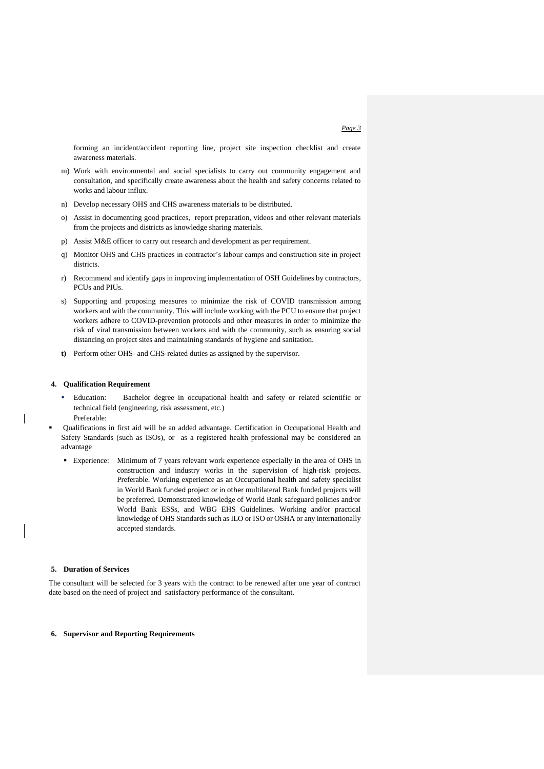forming an incident/accident reporting line, project site inspection checklist and create awareness materials.

- m) Work with environmental and social specialists to carry out community engagement and consultation, and specifically create awareness about the health and safety concerns related to works and labour influx.
- n) Develop necessary OHS and CHS awareness materials to be distributed.
- o) Assist in documenting good practices, report preparation, videos and other relevant materials from the projects and districts as knowledge sharing materials.
- p) Assist M&E officer to carry out research and development as per requirement.
- q) Monitor OHS and CHS practices in contractor's labour camps and construction site in project districts.
- r) Recommend and identify gaps in improving implementation of OSH Guidelines by contractors, PCUs and PIUs.
- s) Supporting and proposing measures to minimize the risk of COVID transmission among workers and with the community. This will include working with the PCU to ensure that project workers adhere to COVID-prevention protocols and other measures in order to minimize the risk of viral transmission between workers and with the community, such as ensuring social distancing on project sites and maintaining standards of hygiene and sanitation.
- **t)** Perform other OHS- and CHS-related duties as assigned by the supervisor.

### **4. Qualification Requirement**

- Education: Bachelor degree in occupational health and safety or related scientific or technical field (engineering, risk assessment, etc.)
- Preferable:

 Qualifications in first aid will be an added advantage. Certification in Occupational Health and Safety Standards (such as ISOs), or as a registered health professional may be considered an advantage

 Experience: Minimum of 7 years relevant work experience especially in the area of OHS in construction and industry works in the supervision of high-risk projects. Preferable. Working experience as an Occupational health and safety specialist in World Bank funded project or in other multilateral Bank funded projects will be preferred. Demonstrated knowledge of World Bank safeguard policies and/or World Bank ESSs, and WBG EHS Guidelines. Working and/or practical knowledge of OHS Standards such as ILO or ISO or OSHA or any internationally accepted standards.

#### **5. Duration of Services**

The consultant will be selected for 3 years with the contract to be renewed after one year of contract date based on the need of project and satisfactory performance of the consultant.

### **6. Supervisor and Reporting Requirements**

#### *Page 3*